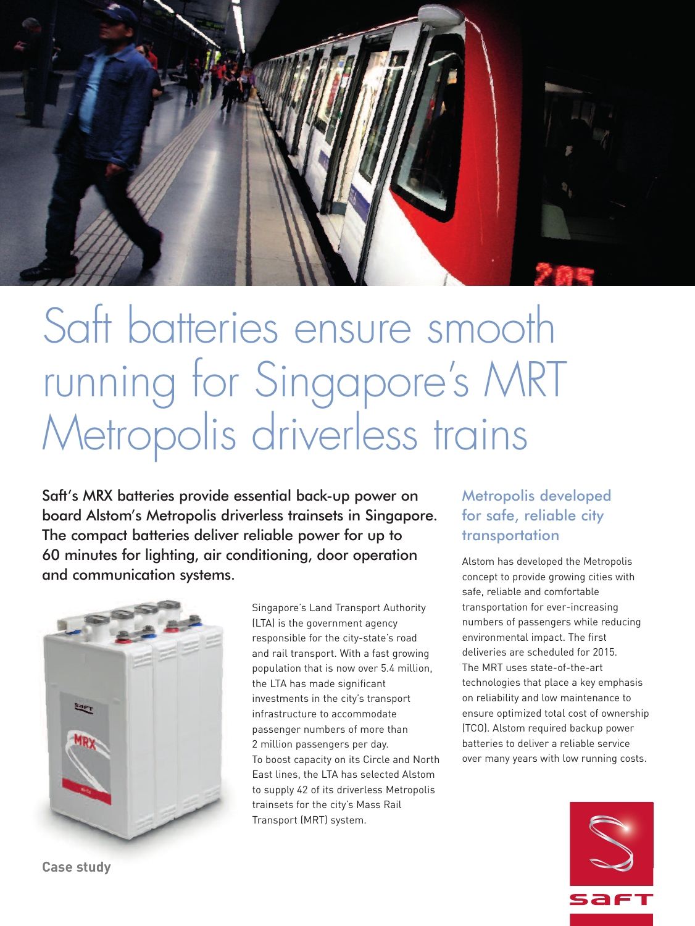

# Saft batteries ensure smooth running for Singapore ' s MRT Metropolis driverless trains

Saft's MRX batteries provide essential back-up power on board Alstom's Metropolis driverless trainsets in Singapore. The compact batteries deliver reliable power for up to 60 minutes for lighting, air conditioning, door operation and communication systems.



Singapore's Land Transport Authority (LTA) is the government agency responsible for the city-state's road and rail transport. With a fast growing population that is now over 5.4 million, the LTA has made significant investments in the city's transport infrastructure to accommodate passenger numbers of more than 2 million passengers per day. To boost capacity on its Circle and North East lines, the LTA has selected Alstom to supply 42 of its driverless Metropolis trainsets for the city's Mass Rail Transport (MRT) system.

### Metropolis developed for safe, reliable city transportation

Alstom has developed the Metropolis concept to provide growing cities with safe, reliable and comfortable transportation for ever-increasing numbers of passengers while reducing environmental impact. The first deliveries are scheduled for 2015. The MRT uses state-of-the-art technologies that place a key emphasis on reliability and low maintenance to ensure optimized total cost of ownership (TCO). Alstom required backup power batteries to deliver a reliable service over many years with low running costs.



**Case study**